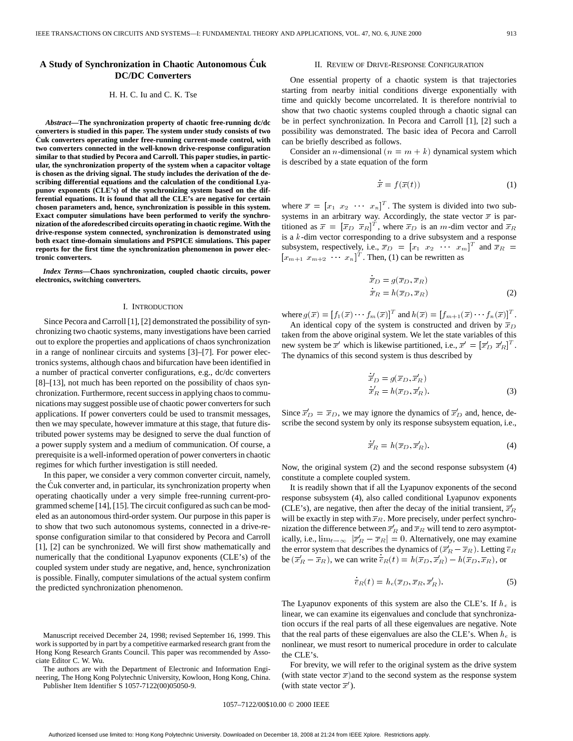# **A Study of Synchronization in Chaotic Autonomous C´ uk DC/DC Converters**

## H. H. C. Iu and C. K. Tse

*Abstract—***The synchronization property of chaotic free-running dc/dc converters is studied in this paper. The system under study consists of two C´ uk converters operating under free-running current-mode control, with two converters connected in the well-known drive-response configuration similar to that studied by Pecora and Carroll. This paper studies, in particular, the synchronization property of the system when a capacitor voltage is chosen as the driving signal. The study includes the derivation of the describing differential equations and the calculation of the conditional Lyapunov exponents (CLE's) of the synchronizing system based on the differential equations. It is found that all the CLE's are negative for certain chosen parameters and, hence, synchronization is possible in this system. Exact computer simulations have been performed to verify the synchronization of the aforedescribed circuits operating in chaotic regime. With the drive-response system connected, synchronization is demonstrated using both exact time-domain simulations and PSPICE simulations. This paper reports for the first time the synchronization phenomenon in power electronic converters.**

*Index Terms—***Chaos synchronization, coupled chaotic circuits, power electronics, switching converters.**

### I. INTRODUCTION

Since Pecora and Carroll [1], [2] demonstrated the possibility of synchronizing two chaotic systems, many investigations have been carried out to explore the properties and applications of chaos synchronization in a range of nonlinear circuits and systems [3]–[7]. For power electronics systems, although chaos and bifurcation have been identified in a number of practical converter configurations, e.g., dc/dc converters [8]–[13], not much has been reported on the possibility of chaos synchronization. Furthermore, recent success in applying chaos to communications may suggest possible use of chaotic power converters for such applications. If power converters could be used to transmit messages, then we may speculate, however immature at this stage, that future distributed power systems may be designed to serve the dual function of a power supply system and a medium of communication. Of course, a prerequisite is a well-informed operation of power converters in chaotic regimes for which further investigation is still needed.

In this paper, we consider a very common converter circuit, namely, the Cuk converter and, in particular, its synchronization property when operating chaotically under a very simple free-running current-programmed scheme [14], [15]. The circuit configured as such can be modeled as an autonomous third-order system. Our purpose in this paper is to show that two such autonomous systems, connected in a drive-response configuration similar to that considered by Pecora and Carroll [1], [2] can be synchronized. We will first show mathematically and numerically that the conditional Lyapunov exponents (CLE's) of the coupled system under study are negative, and, hence, synchronization is possible. Finally, computer simulations of the actual system confirm the predicted synchronization phenomenon.

The authors are with the Department of Electronic and Information Engineering, The Hong Kong Polytechnic University, Kowloon, Hong Kong, China.

Publisher Item Identifier S 1057-7122(00)05050-9.

### II. REVIEW OF DRIVE-RESPONSE CONFIGURATION

One essential property of a chaotic system is that trajectories starting from nearby initial conditions diverge exponentially with time and quickly become uncorrelated. It is therefore nontrivial to show that two chaotic systems coupled through a chaotic signal can be in perfect synchronization. In Pecora and Carroll [1], [2] such a possibility was demonstrated. The basic idea of Pecora and Carroll can be briefly described as follows.

Consider an *n*-dimensional ( $n = m + k$ ) dynamical system which is described by a state equation of the form

$$
\overline{x} = f(\overline{x}(t))\tag{1}
$$

where  $\overline{x} = \begin{bmatrix} x_1 & x_2 & \cdots & x_n \end{bmatrix}^T$ . The system is divided into two subsystems in an arbitrary way. Accordingly, the state vector  $\overline{x}$  is partitioned as  $\overline{x} = [\overline{x}_D \ \overline{x}_R]^T$ , where  $\overline{x}_D$  is an m-dim vector and  $\overline{x}_R$ is a k-dim vector corresponding to a drive subsystem and a response subsystem, respectively, i.e.,  $\overline{x}_D = \begin{bmatrix} x_1 & x_2 & \cdots & x_m \end{bmatrix}^T$  and  $\overline{x}_R =$  $[x_{m+1}, x_{m+2}, \dots, x_n]^T$ . Then, (1) can be rewritten as

$$
\begin{aligned}\n\dot{\overline{x}}_D &= g(\overline{x}_D, \overline{x}_R) \\
\dot{\overline{x}}_R &= h(\overline{x}_D, \overline{x}_R)\n\end{aligned} \tag{2}
$$

where  $g(\overline{x})=[f_1(\overline{x}) \cdots f_m(\overline{x})]^T$  and  $h(\overline{x})=[f_{m+1}(\overline{x}) \cdots f_n(\overline{x})]^T$ .

An identical copy of the system is constructed and driven by  $\overline{x}_D$ taken from the above original system. We let the state variables of this new system be  $\overline{x}'$  which is likewise partitioned, i.e.,  $\overline{x}' = [\overline{x}'_D \ \overline{x}'_R]^T$ . The dynamics of this second system is thus described by

$$
\begin{aligned}\n\dot{\overline{x}}_D' &= g(\overline{x}_D, \overline{x}_R')\\
\dot{\overline{x}}_R' &= h(\overline{x}_D, \overline{x}_R').\n\end{aligned} \tag{3}
$$

Since  $\overline{x}_D' = \overline{x}_D$ , we may ignore the dynamics of  $\overline{x}_D'$  and, hence, describe the second system by only its response subsystem equation, i.e.,

$$
\dot{\overline{x}}'_R = h(\overline{x}_D, \overline{x}'_R). \tag{4}
$$

Now, the original system (2) and the second response subsystem (4) constitute a complete coupled system.

It is readily shown that if all the Lyapunov exponents of the second response subsystem (4), also called conditional Lyapunov exponents (CLE's), are negative, then after the decay of the initial transient,  $\overline{x}_R$ will be exactly in step with  $\overline{x}_R$ . More precisely, under perfect synchronization the difference between  $\overline{x}_R$  and  $\overline{x}_R$  will tend to zero asymptotically, i.e.,  $\lim_{t\to\infty} |\overline{x}_R - \overline{x}_R| = 0$ . Alternatively, one may examine the error system that describes the dynamics of  $(\overline{x}_R - \overline{x}_R)$ . Letting  $\overline{e}_R$ be  $(\overline{x}_R' - \overline{x}_R)$ , we can write  $\overline{e}_R(t) = h(\overline{x}_D, \overline{x}_R') - h(\overline{x}_D, \overline{x}_R)$ , or

$$
\dot{\overline{e}}_R(t) = h_e(\overline{x}_D, \overline{x}_R, \overline{x}_R').
$$
\n(5)

The Lyapunov exponents of this system are also the CLE's. If  $h_e$  is linear, we can examine its eigenvalues and conclude that synchronization occurs if the real parts of all these eigenvalues are negative. Note that the real parts of these eigenvalues are also the CLE's. When  $h_e$  is nonlinear, we must resort to numerical procedure in order to calculate the CLE's.

For brevity, we will refer to the original system as the drive system (with state vector  $\overline{x}$ ) and to the second system as the response system (with state vector  $\overline{x}^i$ ).

1057–7122/00\$10.00 © 2000 IEEE

Manuscript received December 24, 1998; revised September 16, 1999. This work is supported by in part by a competitive earmarked research grant from the Hong Kong Research Grants Council. This paper was recommended by Associate Editor C. W. Wu.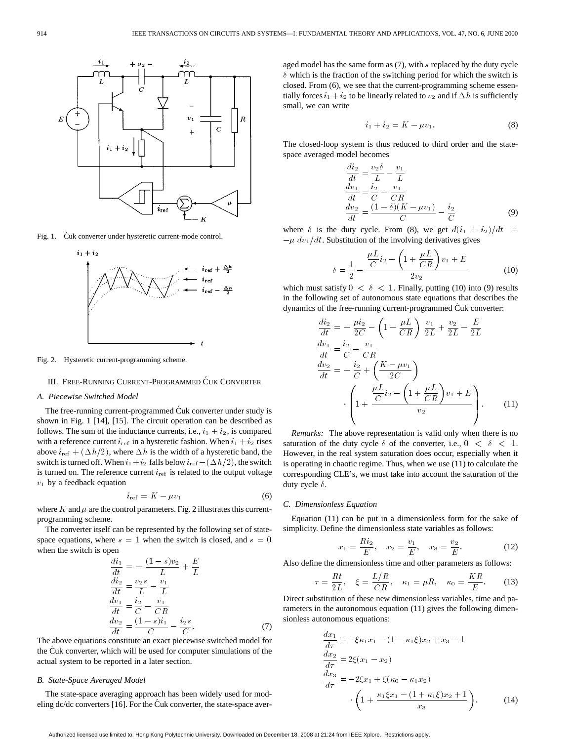

Fig. 1. Ćuk converter under hysteretic current-mode control.



Fig. 2. Hysteretic current-programming scheme.

## III. FREE-RUNNING CURRENT-PROGRAMMED ĆUK CONVERTER

#### *A. Piecewise Switched Model*

The free-running current-programmed Cuk converter under study is shown in Fig. 1 [14], [15]. The circuit operation can be described as follows. The sum of the inductance currents, i.e.,  $i_1 + i_2$ , is compared with a reference current  $i_{ref}$  in a hysteretic fashion. When  $i_1 + i_2$  rises above  $i_{ref} + (\Delta h/2)$ , where  $\Delta h$  is the width of a hysteretic band, the switch is turned off. When  $i_1+i_2$  falls below  $i_{\text{ref}} - (\Delta h/2)$ , the switch is turned on. The reference current  $i_{ref}$  is related to the output voltage  $v_1$  by a feedback equation  $i_{\text{ref}} = K - \mu v_1$  (6)

$$
i_{\text{ref}} = K - \mu v_1 \tag{6}
$$

where  $K$  and  $\mu$  are the control parameters. Fig. 2 illustrates this currentprogramming scheme.

The converter itself can be represented by the following set of statespace equations, where  $s = 1$  when the switch is closed, and  $s = 0$ when the switch is open

$$
\frac{di_1}{dt} = -\frac{(1-s)v_2}{L} + \frac{E}{L}
$$
\n
$$
\frac{di_2}{dt} = \frac{v_2s}{L} - \frac{v_1}{L}
$$
\n
$$
\frac{dv_1}{dt} = \frac{i_2}{C} - \frac{v_1}{CR}
$$
\n
$$
\frac{dv_2}{dt} = \frac{(1-s)i_1}{C} - \frac{i_2s}{C}.
$$
\n(7)

The above equations constitute an exact piecewise switched model for the Cuk converter, which will be used for computer simulations of the actual system to be reported in a later section.

## *B. State-Space Averaged Model*

The state-space averaging approach has been widely used for modeling dc/dc converters [16]. For the  $\tilde{C}$ uk converter, the state-space averaged model has the same form as  $(7)$ , with s replaced by the duty cycle  $\delta$  which is the fraction of the switching period for which the switch is closed. From (6), we see that the current-programming scheme essentially forces  $i_1 + i_2$  to be linearly related to  $v_2$  and if  $\Delta h$  is sufficiently small, we can write

$$
i_1 + i_2 = K - \mu v_1.
$$
 (8)

The closed-loop system is thus reduced to third order and the state-

space averaged model becomes  
\n
$$
\frac{di_2}{dt} = \frac{v_2 \delta}{L} - \frac{v_1}{L}
$$
\n
$$
\frac{dv_1}{dt} = \frac{i_2}{C} - \frac{v_1}{CR}
$$
\n
$$
\frac{dv_2}{dt} = \frac{(1 - \delta)(K - \mu v_1)}{C} - \frac{i_2}{C}
$$
\n(9)

where  $\delta$  is the duty cycle. From (8), we get  $d(i_1 + i_2)/dt = -\mu \, dv_1/dt$ . Substitution of the involving derivatives gives  $-\mu dv_1/dt$ . Substitution of the involving derivatives gives

$$
\delta = \frac{1}{2} - \frac{\frac{\mu L}{C} i_2 - \left(1 + \frac{\mu L}{CR}\right) v_1 + E}{2v_2} \tag{10}
$$

which must satisfy  $0 < \delta < 1$ . Finally, putting (10) into (9) results in the following set of autonomous state equations that describes the

dynamics of the free-running current-programmed Ćuk converter:  
\n
$$
\frac{di_2}{dt} = -\frac{\mu i_2}{2C} - \left(1 - \frac{\mu L}{CR}\right) \frac{v_1}{2L} + \frac{v_2}{2L} - \frac{E}{2L}
$$
\n
$$
\frac{dv_1}{dt} = \frac{i_2}{C} - \frac{v_1}{CR}
$$
\n
$$
\frac{dv_2}{dt} = -\frac{i_2}{C} + \left(\frac{K - \mu v_1}{2C}\right)
$$
\n
$$
\cdot \left(1 + \frac{\frac{\mu L}{C}i_2 - \left(1 + \frac{\mu L}{CR}\right)v_1 + E}{v_2}\right).
$$
\n(11)

*Remarks:* The above representation is valid only when there is no saturation of the duty cycle  $\delta$  of the converter, i.e.,  $0 < \delta < 1$ . However, in the real system saturation does occur, especially when it is operating in chaotic regime. Thus, when we use (11) to calculate the corresponding CLE's, we must take into account the saturation of the duty cycle  $\delta$ .

# *C. Dimensionless Equation*

Equation (11) can be put in a dimensionless form for the sake of simplicity. Define the dimensionless state variables as follows:

$$
x_1 = \frac{Ri_2}{E}, \quad x_2 = \frac{v_1}{E}, \quad x_3 = \frac{v_2}{E}.
$$
 (12)

Also define the dimensionless time and other parameters as follows:

$$
\tau = \frac{Rt}{2L}, \quad \xi = \frac{L/R}{CR}, \quad \kappa_1 = \mu R, \quad \kappa_0 = \frac{KR}{E}.
$$
 (13)

Direct substitution of these new dimensionless variables, time and parameters in the autonomous equation (11) gives the following dimensionless autonomous equations:

$$
\frac{dx_1}{d\tau} = -\xi \kappa_1 x_1 - (1 - \kappa_1 \xi) x_2 + x_3 - 1
$$
  
\n
$$
\frac{dx_2}{d\tau} = 2\xi (x_1 - x_2)
$$
  
\n
$$
\frac{dx_3}{d\tau} = -2\xi x_1 + \xi (\kappa_0 - \kappa_1 x_2)
$$
  
\n
$$
\cdot \left(1 + \frac{\kappa_1 \xi x_1 - (1 + \kappa_1 \xi) x_2 + 1}{x_3}\right).
$$
 (14)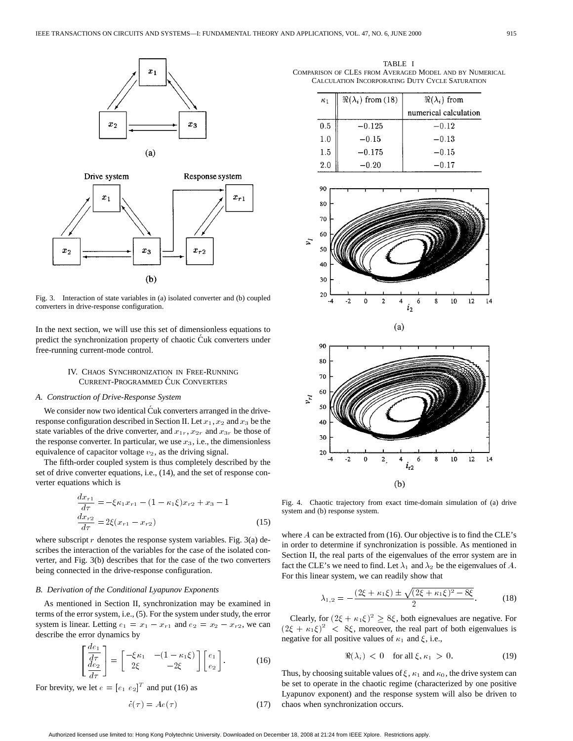



Fig. 3. Interaction of state variables in (a) isolated converter and (b) coupled converters in drive-response configuration.

In the next section, we will use this set of dimensionless equations to predict the synchronization property of chaotic Cuk converters under free-running current-mode control.

## IV. CHAOS SYNCHRONIZATION IN FREE-RUNNING CURRENT-PROGRAMMED ĆUK CONVERTERS

## *A. Construction of Drive-Response System*

We consider now two identical Cuk converters arranged in the driveresponse configuration described in Section II. Let  $x_1, x_2$  and  $x_3$  be the state variables of the drive converter, and  $x_{1r}$ ,  $x_{2r}$  and  $x_{3r}$  be those of the response converter. In particular, we use  $x_3$ , i.e., the dimensionless equivalence of capacitor voltage  $v_2$ , as the driving signal.

The fifth-order coupled system is thus completely described by the set of drive converter equations, i.e., (14), and the set of response converter equations which is

$$
\frac{dx_{r1}}{d\tau} = -\xi \kappa_1 x_{r1} - (1 - \kappa_1 \xi) x_{r2} + x_3 - 1
$$
  
\n
$$
\frac{dx_{r2}}{d\tau} = 2\xi (x_{r1} - x_{r2})
$$
\n(15)

where subscript  $r$  denotes the response system variables. Fig. 3(a) describes the interaction of the variables for the case of the isolated converter, and Fig. 3(b) describes that for the case of the two converters being connected in the drive-response configuration.

#### *B. Derivation of the Conditional Lyapunov Exponents*

As mentioned in Section II, synchronization may be examined in terms of the error system, i.e., (5). For the system under study, the error system is linear. Letting  $e_1 = x_1 - x_{r1}$  and  $e_2 = x_2 - x_{r2}$ , we can describe the error dynamics by

$$
\left[\begin{array}{c}\n\frac{de_1}{d\tau} \\
\frac{de_2}{d\tau}\n\end{array}\right] = \left[\begin{array}{cc}\n-\xi\kappa_1 & -(1-\kappa_1\xi) \\
2\xi & -2\xi\n\end{array}\right] \left[\begin{array}{c}\ne_1 \\
e_2\n\end{array}\right].
$$
\n(16)

For brevity, we let  $e = [e_1 \ e_2]^T$  and put (16) as

$$
\dot{e}(\tau) = Ae(\tau) \tag{17}
$$

TABLE I COMPARISON OF CLES FROM AVERAGED MODEL AND BY NUMERICAL CALCULATION INCORPORATING DUTY CYCLE SATURATION

| $\Re(\lambda_i)$ from (18) | $\Re(\lambda_i)$ from |
|----------------------------|-----------------------|
|                            | numerical calculation |
| $-0.125$                   | $-0.12$               |
| $-0.15$                    | $-0.13$               |
| $-0.175$                   | $-0.15$               |
| $-0.20$                    | $-0.17$               |
|                            |                       |





Fig. 4. Chaotic trajectory from exact time-domain simulation of (a) drive system and (b) response system.

where  $A$  can be extracted from (16). Our objective is to find the CLE's in order to determine if synchronization is possible. As mentioned in Section II, the real parts of the eigenvalues of the error system are in fact the CLE's we need to find. Let  $\lambda_1$  and  $\lambda_2$  be the eigenvalues of A. For this linear system, we can readily show that

$$
\lambda_{1,2} = -\frac{(2\xi + \kappa_1\xi) \pm \sqrt{(2\xi + \kappa_1\xi)^2 - 8\xi}}{2}.
$$
 (18)

Clearly, for  $(2\xi + \kappa_1 \xi)^2 \ge 8\xi$ , both eignevalues are negative. For  $(2\xi + \kappa_1 \xi)^2$  < 8 $\xi$ , moreover, the real part of both eigenvalues is negative for all positive values of  $\kappa_1$  and  $\xi$ , i.e.,

$$
\Re(\lambda_i) < 0 \quad \text{for all } \xi, \kappa_1 > 0. \tag{19}
$$

Thus, by choosing suitable values of  $\xi$ ,  $\kappa_1$  and  $\kappa_0$ , the drive system can be set to operate in the chaotic regime (characterized by one positive Lyapunov exponent) and the response system will also be driven to chaos when synchronization occurs.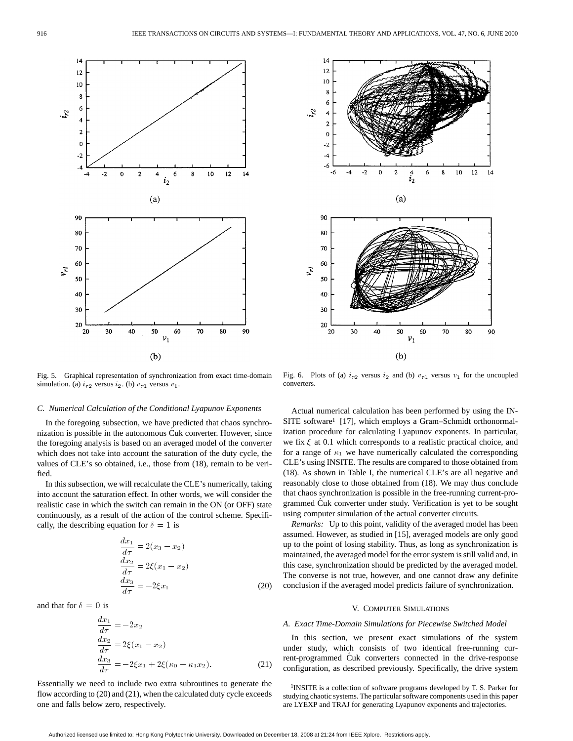

Fig. 5. Graphical representation of synchronization from exact time-domain simulation. (a)  $i_{r2}$  versus  $i_2$ . (b)  $v_{r1}$  versus  $v_1$ .

#### *C. Numerical Calculation of the Conditional Lyapunov Exponents*

In the foregoing subsection, we have predicted that chaos synchronization is possible in the autonomous  $\acute{C}$ uk converter. However, since the foregoing analysis is based on an averaged model of the converter which does not take into account the saturation of the duty cycle, the values of CLE's so obtained, i.e., those from (18), remain to be verified.

In this subsection, we will recalculate the CLE's numerically, taking into account the saturation effect. In other words, we will consider the realistic case in which the switch can remain in the ON (or OFF) state continuously, as a result of the action of the control scheme. Specifically, the describing equation for  $\delta = 1$  is<br>  $\frac{dx_1}{d\tau} = 2(x_3 - x_2)$ cally, the describing equation for  $\delta = 1$  is

$$
\frac{dx_1}{d\tau} = 2(x_3 - x_2)
$$
  
\n
$$
\frac{dx_2}{d\tau} = 2\xi(x_1 - x_2)
$$
  
\n
$$
\frac{dx_3}{d\tau} = -2\xi x_1
$$
\n(20)

and that for  $\delta = 0$  is

$$
\frac{d x_1}{d \tau} = -2\zeta x_1 \tag{20}
$$
\n0 is\n
$$
\frac{d x_1}{d \tau} = -2x_2
$$
\n
$$
\frac{d x_2}{d \tau} = 2\xi (x_1 - x_2)
$$
\n
$$
\frac{d x_3}{d \tau} = -2\xi x_1 + 2\xi (\kappa_0 - \kappa_1 x_2).
$$
\n(21)

Essentially we need to include two extra subroutines to generate the flow according to (20) and (21), when the calculated duty cycle exceeds one and falls below zero, respectively.



Fig. 6. Plots of (a)  $i_{r2}$  versus  $i_2$  and (b)  $v_{r1}$  versus  $v_1$  for the uncoupled converters.

Actual numerical calculation has been performed by using the IN-SITE software<sup>1</sup> [17], which employs a Gram–Schmidt orthonormalization procedure for calculating Lyapunov exponents. In particular, we fix  $\xi$  at 0.1 which corresponds to a realistic practical choice, and for a range of  $\kappa_1$  we have numerically calculated the corresponding CLE's using INSITE. The results are compared to those obtained from (18). As shown in Table I, the numerical CLE's are all negative and reasonably close to those obtained from (18). We may thus conclude that chaos synchronization is possible in the free-running current-programmed Cuk converter under study. Verification is yet to be sought using computer simulation of the actual converter circuits.

*Remarks:* Up to this point, validity of the averaged model has been assumed. However, as studied in [15], averaged models are only good up to the point of losing stability. Thus, as long as synchronization is maintained, the averaged model for the error system is still valid and, in this case, synchronization should be predicted by the averaged model. The converse is not true, however, and one cannot draw any definite conclusion if the averaged model predicts failure of synchronization.

#### V. COMPUTER SIMULATIONS

### *A. Exact Time-Domain Simulations for Piecewise Switched Model*

In this section, we present exact simulations of the system under study, which consists of two identical free-running current-programmed Cuk converters connected in the drive-response configuration, as described previously. Specifically, the drive system

1INSITE is a collection of software programs developed by T. S. Parker for studying chaotic systems. The particular software components used in this paper are LYEXP and TRAJ for generating Lyapunov exponents and trajectories.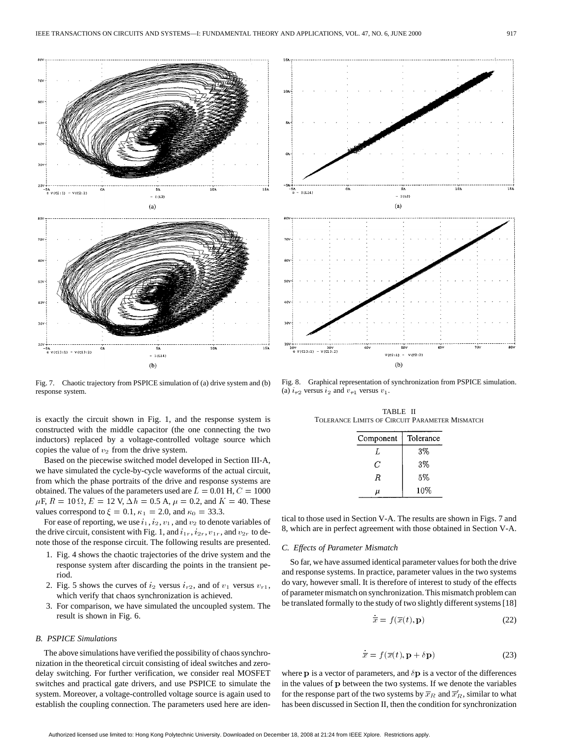



Fig. 7. Chaotic trajectory from PSPICE simulation of (a) drive system and (b) response system.

 $(b)$ 

 $-1(L14)$ 

is exactly the circuit shown in Fig. 1, and the response system is constructed with the middle capacitor (the one connecting the two inductors) replaced by a voltage-controlled voltage source which copies the value of  $v_2$  from the drive system.

Based on the piecewise switched model developed in Section III-A, we have simulated the cycle-by-cycle waveforms of the actual circuit, from which the phase portraits of the drive and response systems are obtained. The values of the parameters used are  $L = 0.01$  H,  $C = 1000$  $\mu$ F,  $R = 10 \Omega$ ,  $E = 12 V$ ,  $\Delta h = 0.5 A$ ,  $\mu = 0.2$ , and  $K = 40$ . These values correspond to  $\xi = 0.1$ ,  $\kappa_1 = 2.0$ , and  $\kappa_0 = 33.3$ .

For ease of reporting, we use  $i_1$ ,  $i_2$ ,  $v_1$ , and  $v_2$  to denote variables of the drive circuit, consistent with Fig. 1, and  $i_{1r}$ ,  $i_{2r}$ ,  $v_{1r}$ , and  $v_{2r}$  to denote those of the response circuit. The following results are presented.

- 1. Fig. 4 shows the chaotic trajectories of the drive system and the response system after discarding the points in the transient period.
- 2. Fig. 5 shows the curves of  $i_2$  versus  $i_{r2}$ , and of  $v_1$  versus  $v_{r1}$ , which verify that chaos synchronization is achieved.
- 3. For comparison, we have simulated the uncoupled system. The result is shown in Fig. 6.

## *B. PSPICE Simulations*

The above simulations have verified the possibility of chaos synchronization in the theoretical circuit consisting of ideal switches and zerodelay switching. For further verification, we consider real MOSFET switches and practical gate drivers, and use PSPICE to simulate the system. Moreover, a voltage-controlled voltage source is again used to establish the coupling connection. The parameters used here are iden-

TABLE II TOLERANCE LIMITS OF CIRCUIT PARAMETER MISMATCH

Fig. 8. Graphical representation of synchronization from PSPICE simulation.

| Component | Tolerance |
|-----------|-----------|
| L         | 3%        |
| C         | 3%        |
| R.        | 5%        |
| μ         | 10%       |

tical to those used in Section V-A. The results are shown in Figs. 7 and 8, which are in perfect agreement with those obtained in Section V-A.

#### *C. Effects of Parameter Mismatch*

(a)  $i_{r2}$  versus  $i_2$  and  $v_{r1}$  versus  $v_1$ .

So far, we have assumed identical parameter values for both the drive and response systems. In practice, parameter values in the two systems do vary, however small. It is therefore of interest to study of the effects of parameter mismatch on synchronization. This mismatch problem can be translated formally to the study of two slightly different systems [18]

$$
\dot{\overline{x}} = f(\overline{x}(t), \mathbf{p})\tag{22}
$$

$$
\dot{\overline{x}} = f(\overline{x}(t), \mathbf{p} + \delta \mathbf{p})
$$
 (23)

where **p** is a vector of parameters, and  $\delta$ **p** is a vector of the differences in the values of p between the two systems. If we denote the variables for the response part of the two systems by  $\overline{x}_R$  and  $\overline{x}'_R$ , similar to what has been discussed in Section II, then the condition for synchronization